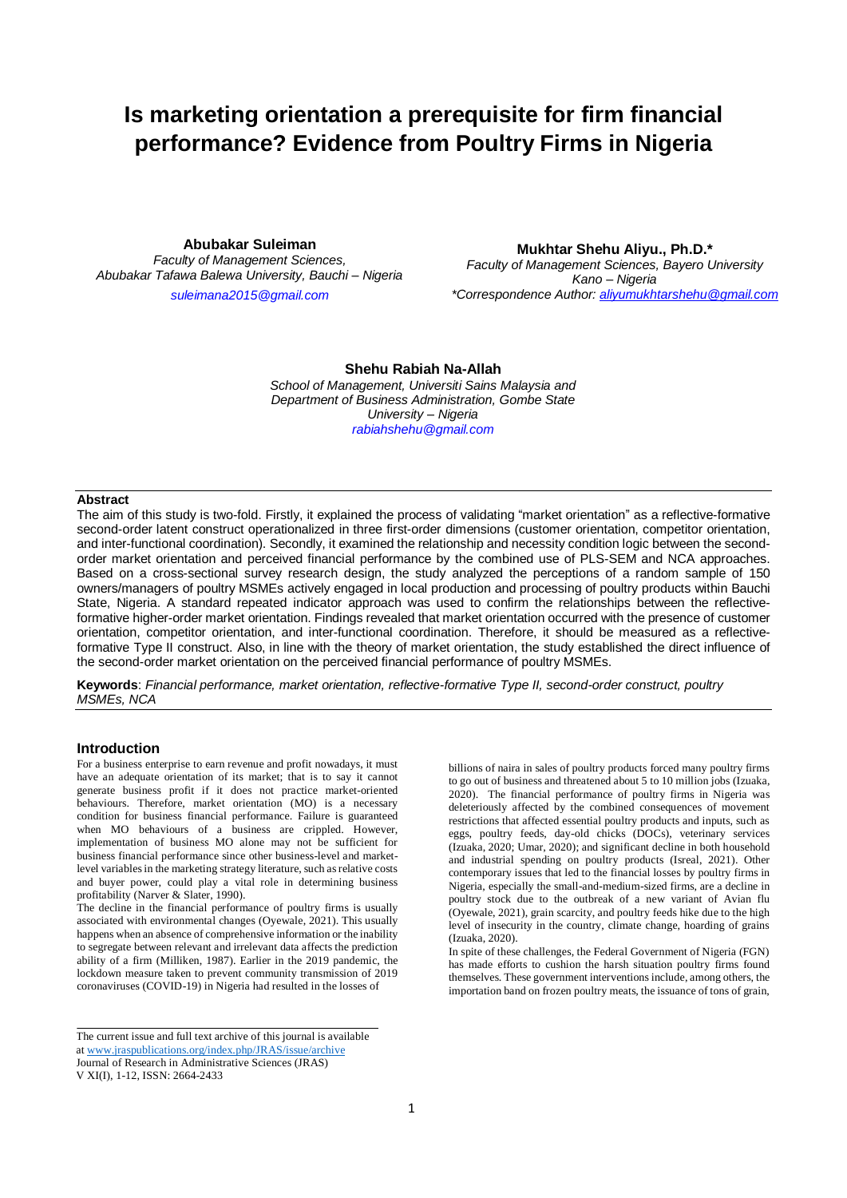**Abubakar Suleiman**

*Faculty of Management Sciences, Abubakar Tafawa Balewa University, Bauchi – Nigeria*

*[suleimana2015@gmail.com](mailto:suleimana2015@gmail.com)*

**Mukhtar Shehu Aliyu., Ph.D.\*** *Faculty of Management Sciences, Bayero University Kano – Nigeria \*Correspondence Author[: aliyumukhtarshehu@gmail.com](mailto:aliyumukhtarshehu@gmail.com)*

# **Shehu Rabiah Na-Allah** *School of Management, Universiti Sains Malaysia and Department of Business Administration, Gombe State*

*University – Nigeria [rabiahshehu@gmail.com](mailto:rabiahshehu@gmail.com)*

# **Abstract**

The aim of this study is two-fold. Firstly, it explained the process of validating "market orientation" as a reflective-formative second-order latent construct operationalized in three first-order dimensions (customer orientation, competitor orientation, and inter-functional coordination). Secondly, it examined the relationship and necessity condition logic between the secondorder market orientation and perceived financial performance by the combined use of PLS-SEM and NCA approaches. Based on a cross-sectional survey research design, the study analyzed the perceptions of a random sample of 150 owners/managers of poultry MSMEs actively engaged in local production and processing of poultry products within Bauchi State, Nigeria. A standard repeated indicator approach was used to confirm the relationships between the reflectiveformative higher-order market orientation. Findings revealed that market orientation occurred with the presence of customer orientation, competitor orientation, and inter-functional coordination. Therefore, it should be measured as a reflectiveformative Type II construct. Also, in line with the theory of market orientation, the study established the direct influence of the second-order market orientation on the perceived financial performance of poultry MSMEs.

**Keywords**: *Financial performance, market orientation, reflective-formative Type II, second-order construct, poultry MSMEs, NCA*

## **Introduction**

For a business enterprise to earn revenue and profit nowadays, it must have an adequate orientation of its market; that is to say it cannot generate business profit if it does not practice market-oriented behaviours. Therefore, market orientation (MO) is a necessary condition for business financial performance. Failure is guaranteed when MO behaviours of a business are crippled. However, implementation of business MO alone may not be sufficient for business financial performance since other business-level and marketlevel variables in the marketing strategy literature, such as relative costs and buyer power, could play a vital role in determining business profitability (Narver & Slater, 1990).

The decline in the financial performance of poultry firms is usually associated with environmental changes (Oyewale, 2021). This usually happens when an absence of comprehensive information or the inability to segregate between relevant and irrelevant data affects the prediction ability of a firm (Milliken, 1987). Earlier in the 2019 pandemic, the lockdown measure taken to prevent community transmission of 2019 coronaviruses (COVID-19) in Nigeria had resulted in the losses of

billions of naira in sales of poultry products forced many poultry firms to go out of business and threatened about 5 to 10 million jobs (Izuaka, 2020). The financial performance of poultry firms in Nigeria was deleteriously affected by the combined consequences of movement restrictions that affected essential poultry products and inputs, such as eggs, poultry feeds, day-old chicks (DOCs), veterinary services (Izuaka, 2020; Umar, 2020); and significant decline in both household and industrial spending on poultry products (Isreal, 2021). Other contemporary issues that led to the financial losses by poultry firms in Nigeria, especially the small-and-medium-sized firms, are a decline in poultry stock due to the outbreak of a new variant of Avian flu (Oyewale, 2021), grain scarcity, and poultry feeds hike due to the high level of insecurity in the country, climate change, hoarding of grains (Izuaka, 2020).

In spite of these challenges, the Federal Government of Nigeria (FGN) has made efforts to cushion the harsh situation poultry firms found themselves. These government interventions include, among others, the importation band on frozen poultry meats, the issuance of tons of grain,

The current issue and full text archive of this journal is available a[t www.jraspublications.org/index.php/JRAS/issue/archive](http://www.jraspublications.org/index.php/JRAS/issue/archive) Journal of Research in Administrative Sciences (JRAS) V XI(I), 1-12, ISSN: 2664-2433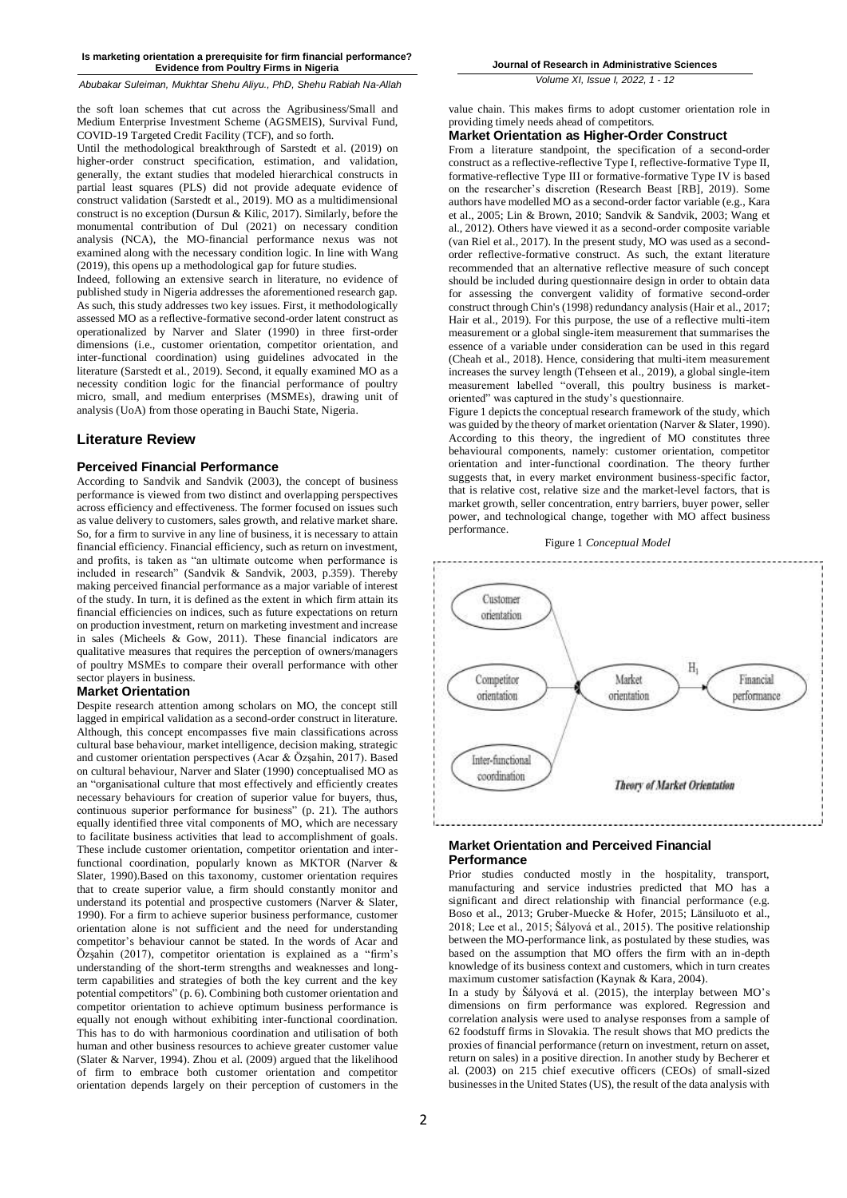*Abubakar Suleiman, Mukhtar Shehu Aliyu., PhD, Shehu Rabiah Na-Allah*

the soft loan schemes that cut across the Agribusiness/Small and Medium Enterprise Investment Scheme (AGSMEIS), Survival Fund, COVID-19 Targeted Credit Facility (TCF), and so forth.

Until the methodological breakthrough of Sarstedt et al. (2019) on higher-order construct specification, estimation, and validation, generally, the extant studies that modeled hierarchical constructs in partial least squares (PLS) did not provide adequate evidence of construct validation (Sarstedt et al., 2019). MO as a multidimensional construct is no exception (Dursun & Kilic, 2017). Similarly, before the monumental contribution of Dul (2021) on necessary condition analysis (NCA), the MO-financial performance nexus was not examined along with the necessary condition logic. In line with Wang (2019), this opens up a methodological gap for future studies.

Indeed, following an extensive search in literature, no evidence of published study in Nigeria addresses the aforementioned research gap. As such, this study addresses two key issues. First, it methodologically assessed MO as a reflective-formative second-order latent construct as operationalized by Narver and Slater (1990) in three first-order dimensions (i.e., customer orientation, competitor orientation, and inter-functional coordination) using guidelines advocated in the literature (Sarstedt et al., 2019). Second, it equally examined MO as a necessity condition logic for the financial performance of poultry micro, small, and medium enterprises (MSMEs), drawing unit of analysis (UoA) from those operating in Bauchi State, Nigeria.

## **Literature Review**

## **Perceived Financial Performance**

According to Sandvik and Sandvik (2003), the concept of business performance is viewed from two distinct and overlapping perspectives across efficiency and effectiveness. The former focused on issues such as value delivery to customers, sales growth, and relative market share. So, for a firm to survive in any line of business, it is necessary to attain financial efficiency. Financial efficiency, such as return on investment, and profits, is taken as "an ultimate outcome when performance is included in research" (Sandvik & Sandvik, 2003, p.359). Thereby making perceived financial performance as a major variable of interest of the study. In turn, it is defined as the extent in which firm attain its financial efficiencies on indices, such as future expectations on return on production investment, return on marketing investment and increase in sales (Micheels & Gow, 2011). These financial indicators are qualitative measures that requires the perception of owners/managers of poultry MSMEs to compare their overall performance with other sector players in business.

# **Market Orientation**

Despite research attention among scholars on MO, the concept still lagged in empirical validation as a second-order construct in literature. Although, this concept encompasses five main classifications across cultural base behaviour, market intelligence, decision making, strategic and customer orientation perspectives (Acar & Özşahin, 2017). Based on cultural behaviour, Narver and Slater (1990) conceptualised MO as an "organisational culture that most effectively and efficiently creates necessary behaviours for creation of superior value for buyers, thus, continuous superior performance for business" (p. 21). The authors equally identified three vital components of MO, which are necessary to facilitate business activities that lead to accomplishment of goals. These include customer orientation, competitor orientation and interfunctional coordination, popularly known as MKTOR (Narver & Slater, 1990).Based on this taxonomy, customer orientation requires that to create superior value, a firm should constantly monitor and understand its potential and prospective customers (Narver & Slater, 1990). For a firm to achieve superior business performance, customer orientation alone is not sufficient and the need for understanding competitor's behaviour cannot be stated. In the words of Acar and Özşahin (2017), competitor orientation is explained as a "firm's understanding of the short-term strengths and weaknesses and longterm capabilities and strategies of both the key current and the key potential competitors" (p. 6). Combining both customer orientation and competitor orientation to achieve optimum business performance is equally not enough without exhibiting inter-functional coordination. This has to do with harmonious coordination and utilisation of both human and other business resources to achieve greater customer value (Slater & Narver, 1994). Zhou et al. (2009) argued that the likelihood of firm to embrace both customer orientation and competitor orientation depends largely on their perception of customers in the

*Volume XI, Issue I, 2022, 1 - 12*

value chain. This makes firms to adopt customer orientation role in providing timely needs ahead of competitors.

## **Market Orientation as Higher-Order Construct**

From a literature standpoint, the specification of a second-order construct as a reflective-reflective Type I, reflective-formative Type II, formative-reflective Type III or formative-formative Type IV is based on the researcher's discretion (Research Beast [RB], 2019). Some authors have modelled MO as a second-order factor variable (e.g., Kara et al., 2005; Lin & Brown, 2010; Sandvik & Sandvik, 2003; Wang et al., 2012). Others have viewed it as a second-order composite variable (van Riel et al., 2017). In the present study, MO was used as a secondorder reflective-formative construct. As such, the extant literature recommended that an alternative reflective measure of such concept should be included during questionnaire design in order to obtain data for assessing the convergent validity of formative second-order construct through Chin's (1998) redundancy analysis (Hair et al., 2017; Hair et al., 2019). For this purpose, the use of a reflective multi-item measurement or a global single-item measurement that summarises the essence of a variable under consideration can be used in this regard (Cheah et al., 2018). Hence, considering that multi-item measurement increases the survey length (Tehseen et al., 2019), a global single-item measurement labelled "overall, this poultry business is marketoriented" was captured in the study's questionnaire.

Figure 1 depicts the conceptual research framework of the study, which was guided by the theory of market orientation (Narver & Slater, 1990). According to this theory, the ingredient of MO constitutes three behavioural components, namely: customer orientation, competitor orientation and inter-functional coordination. The theory further suggests that, in every market environment business-specific factor, that is relative cost, relative size and the market-level factors, that is market growth, seller concentration, entry barriers, buyer power, seller power, and technological change, together with MO affect business performance.



## **Market Orientation and Perceived Financial Performance**

Prior studies conducted mostly in the hospitality, transport, manufacturing and service industries predicted that MO has a significant and direct relationship with financial performance (e.g. Boso et al., 2013; Gruber-Muecke & Hofer, 2015; Länsiluoto et al., 2018; Lee et al., 2015; Šályová et al., 2015). The positive relationship between the MO-performance link, as postulated by these studies, was based on the assumption that MO offers the firm with an in-depth knowledge of its business context and customers, which in turn creates maximum customer satisfaction (Kaynak & Kara, 2004).

In a study by Šályová et al. (2015), the interplay between MO's dimensions on firm performance was explored. Regression and correlation analysis were used to analyse responses from a sample of 62 foodstuff firms in Slovakia. The result shows that MO predicts the proxies of financial performance (return on investment, return on asset, return on sales) in a positive direction. In another study by Becherer et al. (2003) on 215 chief executive officers (CEOs) of small-sized businesses in the United States (US), the result of the data analysis with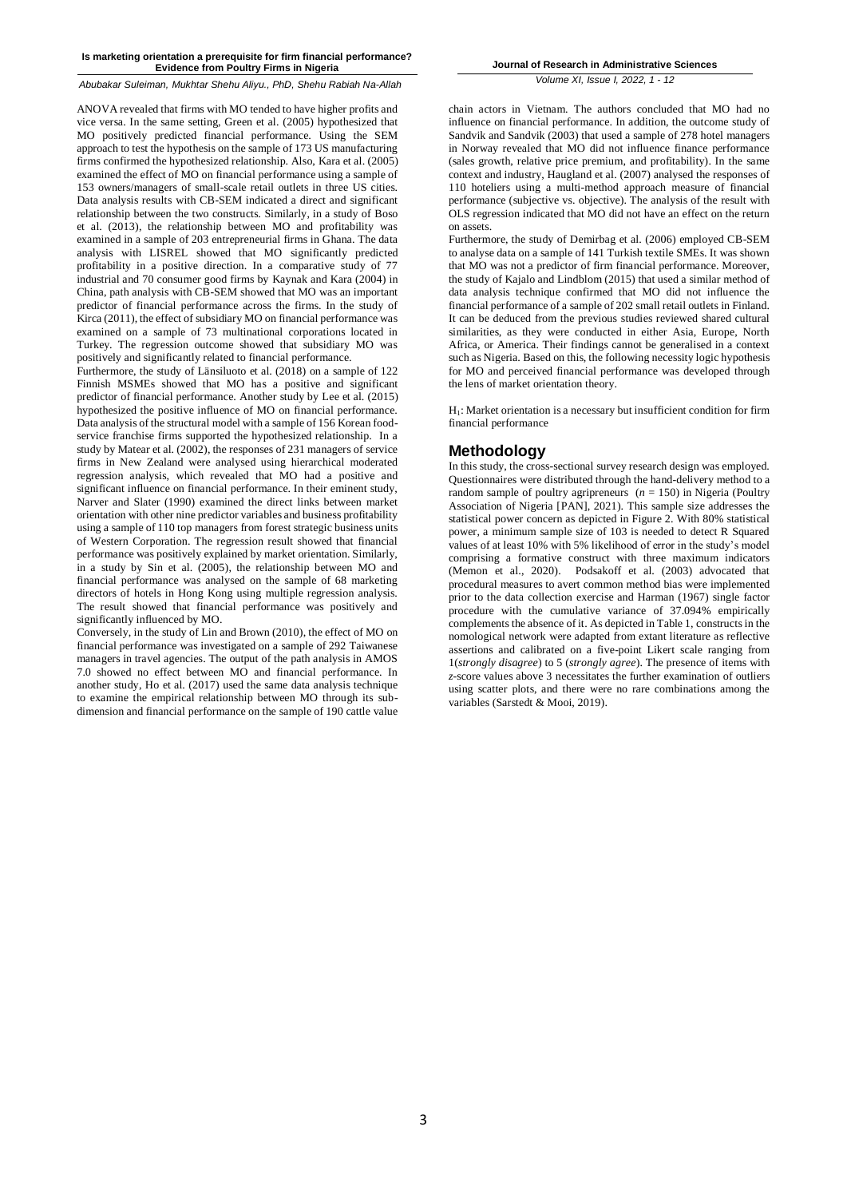*Abubakar Suleiman, Mukhtar Shehu Aliyu., PhD, Shehu Rabiah Na-Allah*

ANOVA revealed that firms with MO tended to have higher profits and vice versa. In the same setting, Green et al. (2005) hypothesized that MO positively predicted financial performance. Using the SEM approach to test the hypothesis on the sample of 173 US manufacturing firms confirmed the hypothesized relationship. Also, Kara et al. (2005) examined the effect of MO on financial performance using a sample of 153 owners/managers of small-scale retail outlets in three US cities. Data analysis results with CB-SEM indicated a direct and significant relationship between the two constructs. Similarly, in a study of Boso et al. (2013), the relationship between MO and profitability was examined in a sample of 203 entrepreneurial firms in Ghana. The data analysis with LISREL showed that MO significantly predicted profitability in a positive direction. In a comparative study of 77 industrial and 70 consumer good firms by Kaynak and Kara (2004) in China, path analysis with CB-SEM showed that MO was an important predictor of financial performance across the firms. In the study of Kirca (2011), the effect of subsidiary MO on financial performance was examined on a sample of 73 multinational corporations located in Turkey. The regression outcome showed that subsidiary MO was positively and significantly related to financial performance.

Furthermore, the study of Länsiluoto et al. (2018) on a sample of 122 Finnish MSMEs showed that MO has a positive and significant predictor of financial performance. Another study by Lee et al. (2015) hypothesized the positive influence of MO on financial performance. Data analysis of the structural model with a sample of 156 Korean foodservice franchise firms supported the hypothesized relationship. In a study by Matear et al. (2002), the responses of 231 managers of service firms in New Zealand were analysed using hierarchical moderated regression analysis, which revealed that MO had a positive and significant influence on financial performance. In their eminent study, Narver and Slater (1990) examined the direct links between market orientation with other nine predictor variables and business profitability using a sample of 110 top managers from forest strategic business units of Western Corporation. The regression result showed that financial performance was positively explained by market orientation. Similarly, in a study by Sin et al. (2005), the relationship between MO and financial performance was analysed on the sample of 68 marketing directors of hotels in Hong Kong using multiple regression analysis. The result showed that financial performance was positively and significantly influenced by MO.

Conversely, in the study of Lin and Brown (2010), the effect of MO on financial performance was investigated on a sample of 292 Taiwanese managers in travel agencies. The output of the path analysis in AMOS 7.0 showed no effect between MO and financial performance. In another study, Ho et al. (2017) used the same data analysis technique to examine the empirical relationship between MO through its subdimension and financial performance on the sample of 190 cattle value

**Journal of Research in Administrative Sciences**

*Volume XI, Issue I, 2022, 1 - 12*

chain actors in Vietnam. The authors concluded that MO had no influence on financial performance. In addition, the outcome study of Sandvik and Sandvik (2003) that used a sample of 278 hotel managers in Norway revealed that MO did not influence finance performance (sales growth, relative price premium, and profitability). In the same context and industry, Haugland et al. (2007) analysed the responses of 110 hoteliers using a multi-method approach measure of financial performance (subjective vs. objective). The analysis of the result with OLS regression indicated that MO did not have an effect on the return on assets.

Furthermore, the study of Demirbag et al. (2006) employed CB-SEM to analyse data on a sample of 141 Turkish textile SMEs. It was shown that MO was not a predictor of firm financial performance. Moreover, the study of Kajalo and Lindblom (2015) that used a similar method of data analysis technique confirmed that MO did not influence the financial performance of a sample of 202 small retail outlets in Finland. It can be deduced from the previous studies reviewed shared cultural similarities, as they were conducted in either Asia, Europe, North Africa, or America. Their findings cannot be generalised in a context such as Nigeria. Based on this, the following necessity logic hypothesis for MO and perceived financial performance was developed through the lens of market orientation theory.

H1: Market orientation is a necessary but insufficient condition for firm financial performance

# **Methodology**

In this study, the cross-sectional survey research design was employed. Questionnaires were distributed through the hand-delivery method to a random sample of poultry agripreneurs  $(n = 150)$  in Nigeria (Poultry Association of Nigeria [PAN], 2021). This sample size addresses the statistical power concern as depicted in Figure 2. With 80% statistical power, a minimum sample size of 103 is needed to detect R Squared values of at least 10% with 5% likelihood of error in the study's model comprising a formative construct with three maximum indicators (Memon et al., 2020). Podsakoff et al. (2003) advocated that procedural measures to avert common method bias were implemented prior to the data collection exercise and Harman (1967) single factor procedure with the cumulative variance of 37.094% empirically complements the absence of it. As depicted in Table 1, constructs in the nomological network were adapted from extant literature as reflective assertions and calibrated on a five-point Likert scale ranging from 1(*strongly disagree*) to 5 (*strongly agree*). The presence of items with *z*-score values above 3 necessitates the further examination of outliers using scatter plots, and there were no rare combinations among the variables (Sarstedt & Mooi, 2019).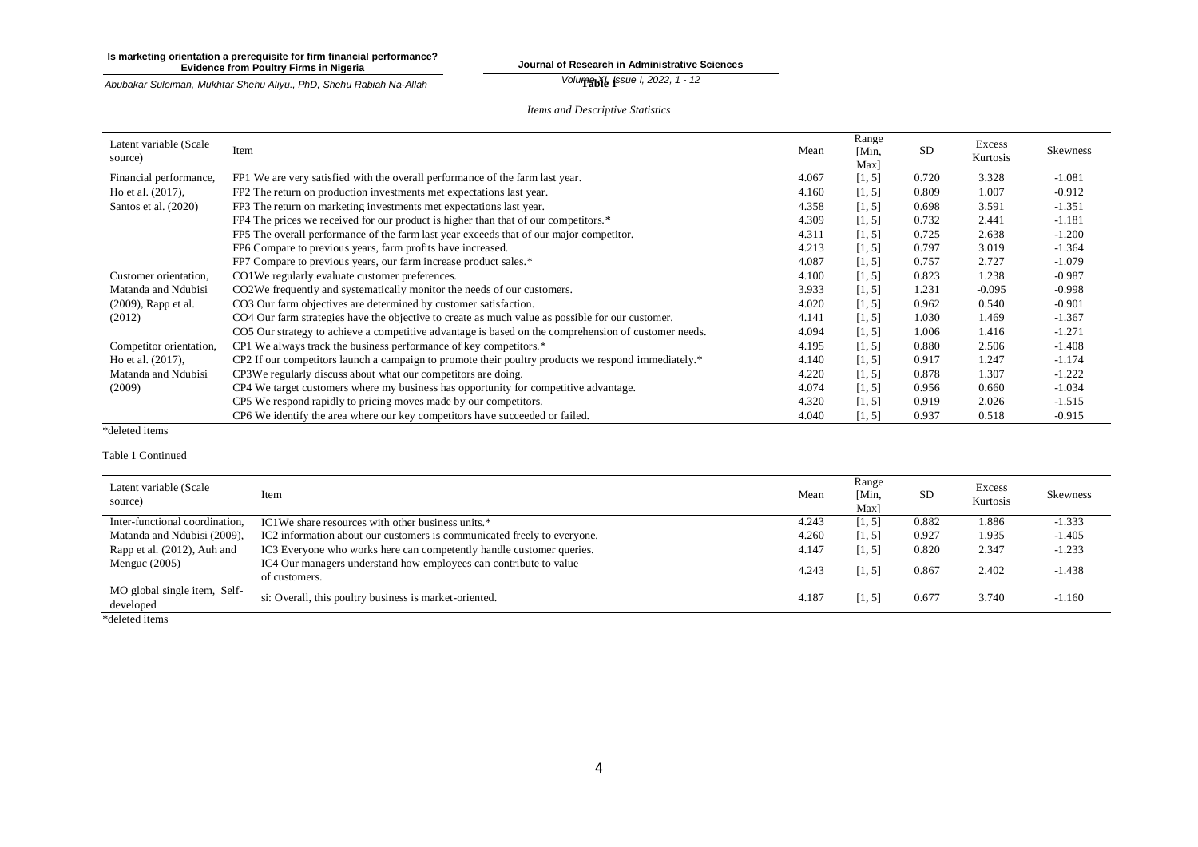**Journal of Research in Administrative Sciences** *Volume XI I*<sub>ssue</sub> *I*, 2022, 1 - 12

*Abubakar Suleiman, Mukhtar Shehu Aliyu., PhD, Shehu Rabiah Na-Allah*

*Items and Descriptive Statistics*

| Latent variable (Scale<br>source) | Item                                                                                                 | Mean  | Range<br>[Min,<br>Max] | <b>SD</b> | Excess<br>Kurtosis | <b>Skewness</b> |
|-----------------------------------|------------------------------------------------------------------------------------------------------|-------|------------------------|-----------|--------------------|-----------------|
| Financial performance,            | FP1 We are very satisfied with the overall performance of the farm last year.                        | 4.067 | [1, 5]                 | 0.720     | 3.328              | $-1.081$        |
| Ho et al. (2017),                 | FP2 The return on production investments met expectations last year.                                 | 4.160 | [1, 5]                 | 0.809     | 1.007              | $-0.912$        |
| Santos et al. (2020)              | FP3 The return on marketing investments met expectations last year.                                  | 4.358 | [1, 5]                 | 0.698     | 3.591              | $-1.351$        |
|                                   | FP4 The prices we received for our product is higher than that of our competitors.*                  | 4.309 | [1, 5]                 | 0.732     | 2.441              | $-1.181$        |
|                                   | FP5 The overall performance of the farm last year exceeds that of our major competitor.              | 4.311 | [1, 5]                 | 0.725     | 2.638              | $-1.200$        |
|                                   | FP6 Compare to previous years, farm profits have increased.                                          | 4.213 | [1, 5]                 | 0.797     | 3.019              | $-1.364$        |
|                                   | FP7 Compare to previous years, our farm increase product sales.*                                     | 4.087 | [1, 5]                 | 0.757     | 2.727              | $-1.079$        |
| Customer orientation,             | CO1We regularly evaluate customer preferences.                                                       | 4.100 | [1, 5]                 | 0.823     | 1.238              | $-0.987$        |
| Matanda and Ndubisi               | CO2We frequently and systematically monitor the needs of our customers.                              | 3.933 | [1, 5]                 | 1.231     | $-0.095$           | $-0.998$        |
| (2009), Rapp et al.               | CO3 Our farm objectives are determined by customer satisfaction.                                     | 4.020 | [1, 5]                 | 0.962     | 0.540              | $-0.901$        |
| (2012)                            | CO4 Our farm strategies have the objective to create as much value as possible for our customer.     | 4.141 | [1, 5]                 | 1.030     | 1.469              | $-1.367$        |
|                                   | CO5 Our strategy to achieve a competitive advantage is based on the comprehension of customer needs. | 4.094 | [1, 5]                 | 1.006     | 1.416              | $-1.271$        |
| Competitor orientation,           | CP1 We always track the business performance of key competitors.*                                    | 4.195 | [1, 5]                 | 0.880     | 2.506              | $-1.408$        |
| Ho et al. (2017),                 | CP2 If our competitors launch a campaign to promote their poultry products we respond immediately.*  | 4.140 | [1, 5]                 | 0.917     | 1.247              | $-1.174$        |
| Matanda and Ndubisi               | CP3We regularly discuss about what our competitors are doing.                                        | 4.220 | [1, 5]                 | 0.878     | 1.307              | $-1.222$        |
| (2009)                            | CP4 We target customers where my business has opportunity for competitive advantage.                 | 4.074 | [1, 5]                 | 0.956     | 0.660              | $-1.034$        |
|                                   | CP5 We respond rapidly to pricing moves made by our competitors.                                     | 4.320 | [1, 5]                 | 0.919     | 2.026              | $-1.515$        |
|                                   | CP6 We identify the area where our key competitors have succeeded or failed.                         | 4.040 | [1, 5]                 | 0.937     | 0.518              | $-0.915$        |

\*deleted items

## Table 1 Continued

| Latent variable (Scale<br>source)         | Item                                                                               | Mean  | Range<br>[Min,<br>Max] | SD.   | Excess<br>Kurtosis | <b>Skewness</b> |
|-------------------------------------------|------------------------------------------------------------------------------------|-------|------------------------|-------|--------------------|-----------------|
| Inter-functional coordination,            | IC1We share resources with other business units.*                                  | 4.243 | [1, 5]                 | 0.882 | 1.886              | $-1.333$        |
| Matanda and Ndubisi (2009),               | IC2 information about our customers is communicated freely to everyone.            | 4.260 | [1, 5]                 | 0.927 | 1.935              | $-1.405$        |
| Rapp et al. (2012), Auh and               | IC3 Everyone who works here can competently handle customer queries.               | 4.147 | [1, 5]                 | 0.820 | 2.347              | $-1.233$        |
| Menguc $(2005)$                           | IC4 Our managers understand how employees can contribute to value<br>of customers. | 4.243 | [1, 5]                 | 0.867 | 2.402              | $-1.438$        |
| MO global single item, Self-<br>developed | si: Overall, this poultry business is market-oriented.                             | 4.187 | [1, 5]                 | 0.677 | 3.740              | $-1.160$        |
| *deleted items                            |                                                                                    |       |                        |       |                    |                 |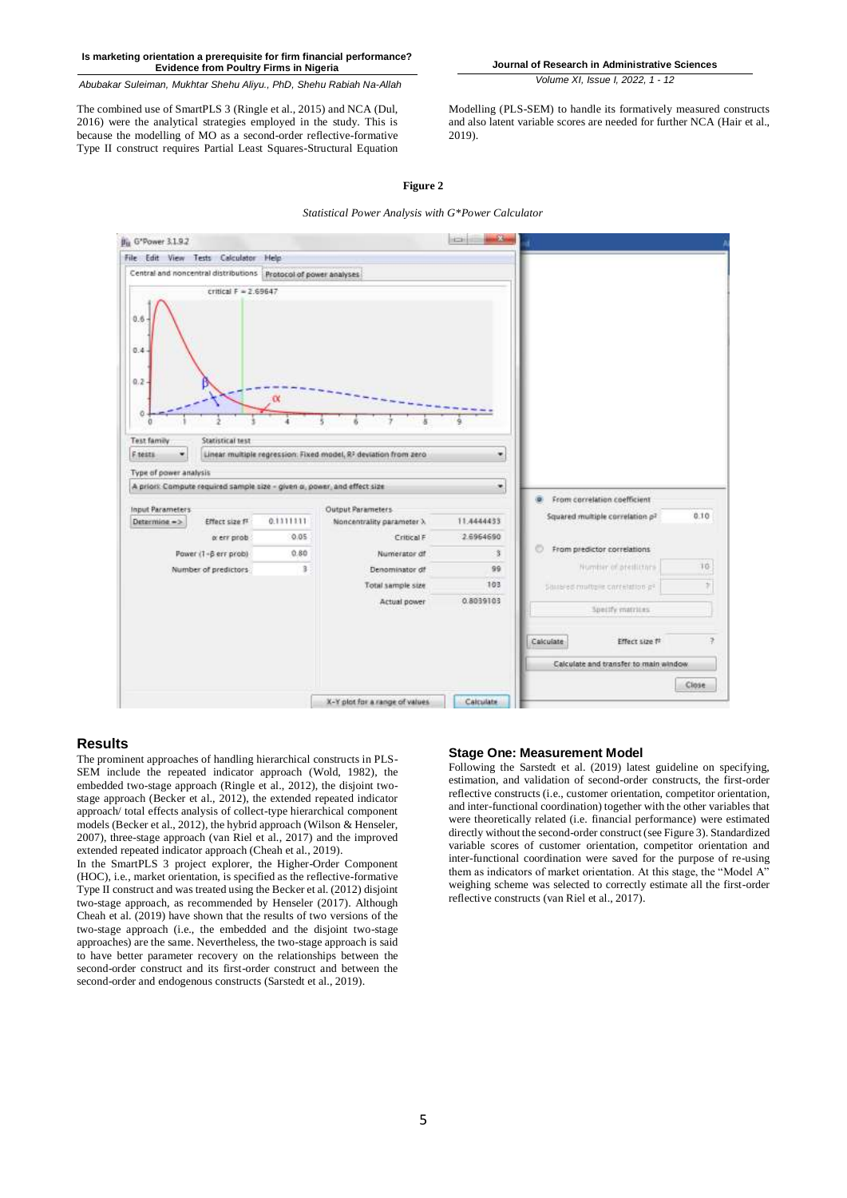*Abubakar Suleiman, Mukhtar Shehu Aliyu., PhD, Shehu Rabiah Na-Allah*

The combined use of SmartPLS 3 (Ringle et al., 2015) and NCA (Dul, 2016) were the analytical strategies employed in the study. This is because the modelling of MO as a second-order reflective-formative Type II construct requires Partial Least Squares-Structural Equation **Journal of Research in Administrative Sciences** *Volume XI, Issue I, 2022, 1 - 12*

Modelling (PLS-SEM) to handle its formatively measured constructs and also latent variable scores are needed for further NCA (Hair et al., 2019).

**Figure 2**

*Statistical Power Analysis with G\*Power Calculator*



# **Results**

The prominent approaches of handling hierarchical constructs in PLS-SEM include the repeated indicator approach (Wold, 1982), the embedded two-stage approach (Ringle et al., 2012), the disjoint twostage approach (Becker et al., 2012), the extended repeated indicator approach/ total effects analysis of collect-type hierarchical component models (Becker et al., 2012), the hybrid approach (Wilson & Henseler, 2007), three-stage approach (van Riel et al., 2017) and the improved extended repeated indicator approach (Cheah et al., 2019).

In the SmartPLS 3 project explorer, the Higher-Order Component (HOC), i.e., market orientation, is specified as the reflective-formative Type II construct and was treated using the Becker et al. (2012) disjoint two-stage approach, as recommended by Henseler (2017). Although Cheah et al. (2019) have shown that the results of two versions of the two-stage approach (i.e., the embedded and the disjoint two-stage approaches) are the same. Nevertheless, the two-stage approach is said to have better parameter recovery on the relationships between the second-order construct and its first-order construct and between the second-order and endogenous constructs (Sarstedt et al., 2019).

# **Stage One: Measurement Model**

Following the Sarstedt et al. (2019) latest guideline on specifying, estimation, and validation of second-order constructs, the first-order reflective constructs (i.e., customer orientation, competitor orientation, and inter-functional coordination) together with the other variables that were theoretically related (i.e. financial performance) were estimated directly without the second-order construct (see Figure 3). Standardized variable scores of customer orientation, competitor orientation and inter-functional coordination were saved for the purpose of re-using them as indicators of market orientation. At this stage, the "Model A" weighing scheme was selected to correctly estimate all the first-order reflective constructs (van Riel et al., 2017).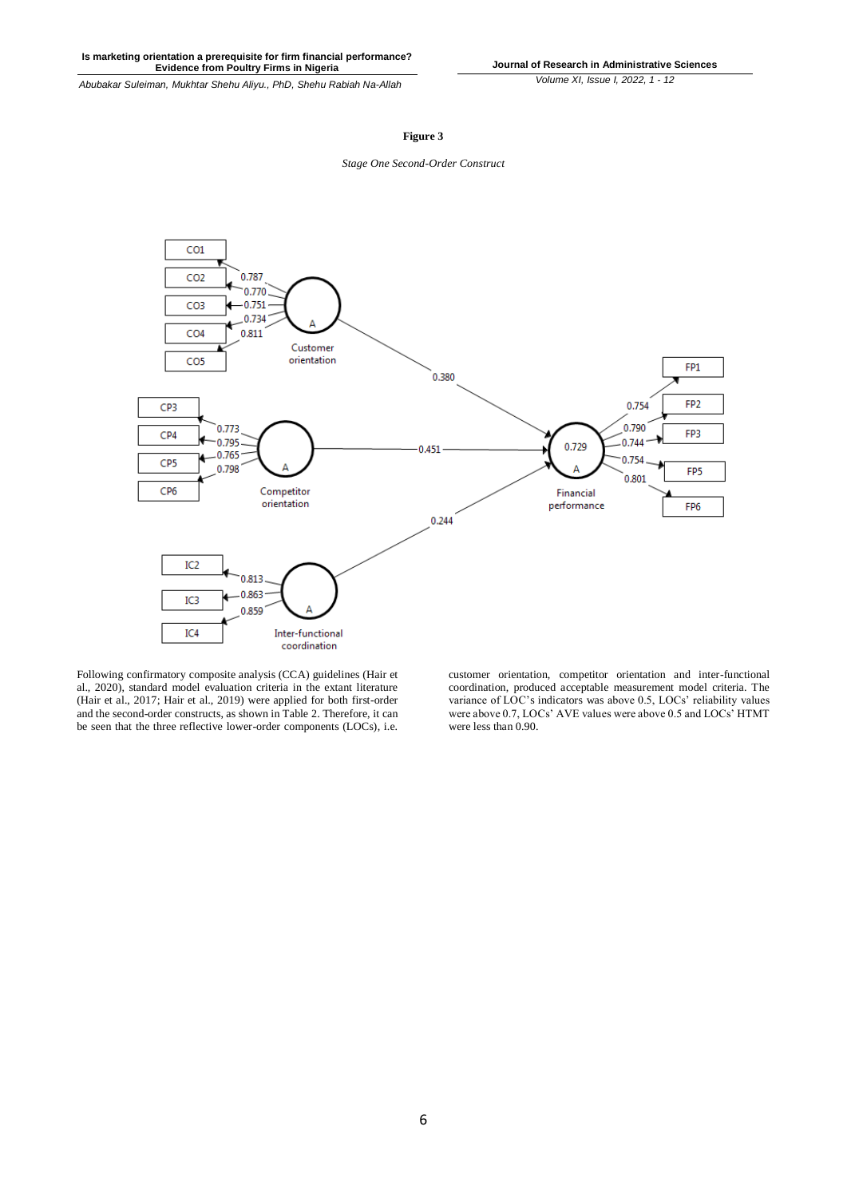*Abubakar Suleiman, Mukhtar Shehu Aliyu., PhD, Shehu Rabiah Na-Allah*

# **Figure 3**





Following confirmatory composite analysis (CCA) guidelines (Hair et al., 2020), standard model evaluation criteria in the extant literature (Hair et al., 2017; Hair et al., 2019) were applied for both first-order and the second-order constructs, as shown in Table 2. Therefore, it can be seen that the three reflective lower-order components (LOCs), i.e.

customer orientation, competitor orientation and inter-functional coordination, produced acceptable measurement model criteria. The variance of LOC's indicators was above 0.5, LOCs' reliability values were above 0.7, LOCs' AVE values were above 0.5 and LOCs' HTMT were less than 0.90.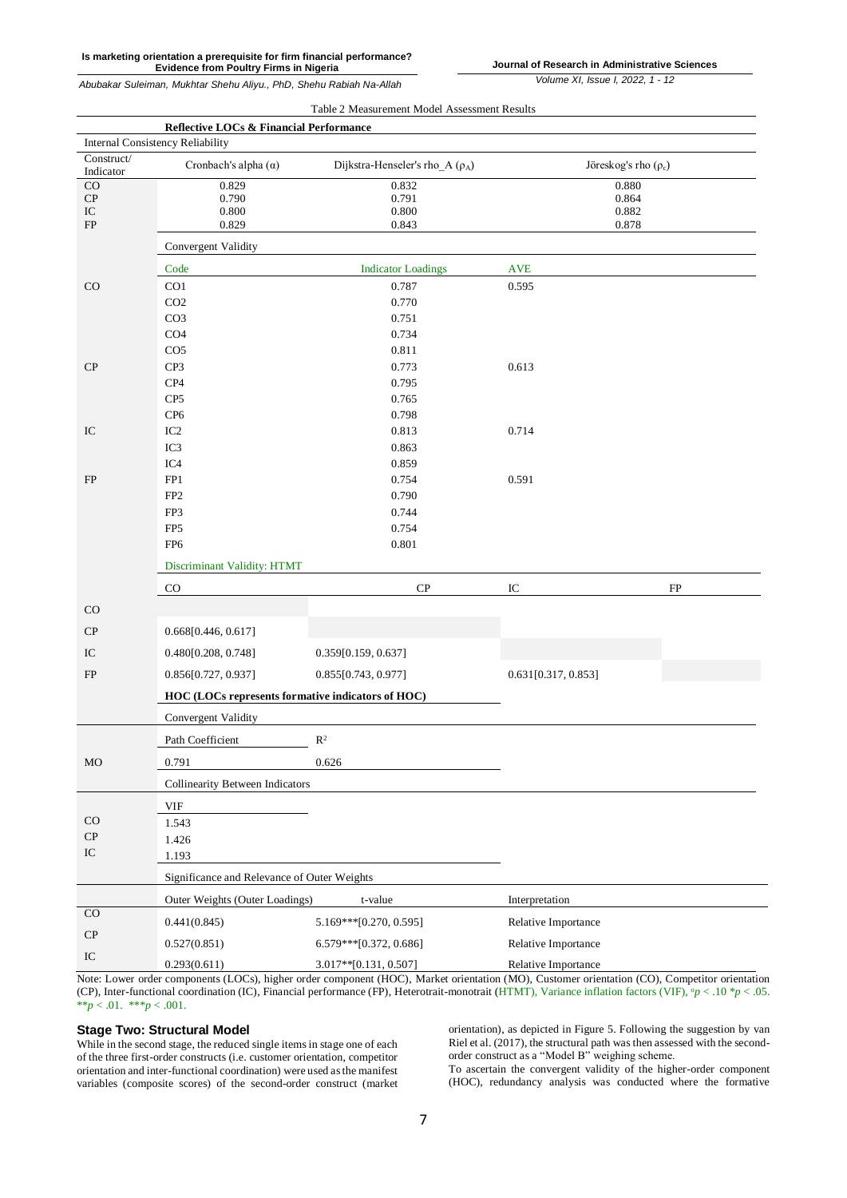**Journal of Research in Administrative Sciences**

*Volume XI, Issue I, 2022, 1 - 12*

| Table 2 Measurement Model Assessment Results |                                                   |                                      |                           |    |  |  |  |  |
|----------------------------------------------|---------------------------------------------------|--------------------------------------|---------------------------|----|--|--|--|--|
| Reflective LOCs & Financial Performance      |                                                   |                                      |                           |    |  |  |  |  |
| Internal Consistency Reliability             |                                                   |                                      |                           |    |  |  |  |  |
| Construct/<br>Indicator                      | Cronbach's alpha $(\alpha)$                       | Dijkstra-Henseler's rho_A $(\rho_A)$ | Jöreskog's rho $(\rho_c)$ |    |  |  |  |  |
| CO                                           | 0.829                                             | 0.832                                | 0.880                     |    |  |  |  |  |
| ${\cal CP}$<br>$\rm{IC}$                     | 0.790<br>0.800                                    | 0.791<br>0.800                       | 0.864<br>0.882            |    |  |  |  |  |
| ${\rm FP}$                                   | 0.829                                             | 0.843                                | 0.878                     |    |  |  |  |  |
|                                              | Convergent Validity                               |                                      |                           |    |  |  |  |  |
|                                              | Code                                              | <b>Indicator Loadings</b>            | <b>AVE</b>                |    |  |  |  |  |
| CO                                           | CO <sub>1</sub>                                   | 0.787                                | 0.595                     |    |  |  |  |  |
|                                              | CO <sub>2</sub>                                   | 0.770                                |                           |    |  |  |  |  |
|                                              | CO <sub>3</sub>                                   | 0.751                                |                           |    |  |  |  |  |
|                                              | CO <sub>4</sub>                                   | 0.734                                |                           |    |  |  |  |  |
|                                              | CO <sub>5</sub>                                   | 0.811                                |                           |    |  |  |  |  |
| CP                                           | CP3                                               | 0.773                                | 0.613                     |    |  |  |  |  |
|                                              | $\mathbf{C}\mathbf{P}4$                           | 0.795                                |                           |    |  |  |  |  |
|                                              | CP <sub>5</sub>                                   | 0.765                                |                           |    |  |  |  |  |
|                                              | CP <sub>6</sub>                                   | 0.798                                |                           |    |  |  |  |  |
| IC                                           | IC <sub>2</sub><br>IC3                            | 0.813<br>0.863                       | 0.714                     |    |  |  |  |  |
|                                              | IC4                                               | 0.859                                |                           |    |  |  |  |  |
| FP                                           | FP1                                               | 0.754                                | 0.591                     |    |  |  |  |  |
|                                              | FP <sub>2</sub>                                   | 0.790                                |                           |    |  |  |  |  |
|                                              | FP3                                               | 0.744                                |                           |    |  |  |  |  |
|                                              | FP <sub>5</sub>                                   | 0.754                                |                           |    |  |  |  |  |
|                                              | FP <sub>6</sub>                                   | 0.801                                |                           |    |  |  |  |  |
|                                              | Discriminant Validity: HTMT                       |                                      |                           |    |  |  |  |  |
|                                              | $_{\rm CO}$                                       | ${\bf CP}$                           | IC                        | FP |  |  |  |  |
| CO                                           |                                                   |                                      |                           |    |  |  |  |  |
| CP                                           | 0.668[0.446, 0.617]                               |                                      |                           |    |  |  |  |  |
| $\rm{IC}$                                    | 0.480[0.208, 0.748]                               | 0.359[0.159, 0.637]                  |                           |    |  |  |  |  |
| FP                                           | 0.856[0.727, 0.937]                               | 0.855[0.743, 0.977]                  | 0.631[0.317, 0.853]       |    |  |  |  |  |
|                                              | HOC (LOCs represents formative indicators of HOC) |                                      |                           |    |  |  |  |  |
|                                              | Convergent Validity                               |                                      |                           |    |  |  |  |  |
|                                              | Path Coefficient                                  | $\mathbb{R}^2$                       |                           |    |  |  |  |  |
| MO                                           | 0.791                                             | 0.626                                |                           |    |  |  |  |  |
|                                              | <b>Collinearity Between Indicators</b>            |                                      |                           |    |  |  |  |  |
|                                              | VIF                                               |                                      |                           |    |  |  |  |  |
| $_{\rm CO}$                                  | 1.543                                             |                                      |                           |    |  |  |  |  |
| ${\bf CP}$                                   | 1.426                                             |                                      |                           |    |  |  |  |  |
| ${\rm IC}$                                   | 1.193                                             |                                      |                           |    |  |  |  |  |
|                                              | Significance and Relevance of Outer Weights       |                                      |                           |    |  |  |  |  |
|                                              | Outer Weights (Outer Loadings)                    | $t$ -value                           | Interpretation            |    |  |  |  |  |
| $_{\rm CO}$                                  | 0.441(0.845)                                      | 5.169***[0.270, 0.595]               | Relative Importance       |    |  |  |  |  |
| $\cal CP$                                    | 0.527(0.851)                                      | 6.579***[0.372, 0.686]               | Relative Importance       |    |  |  |  |  |
| ${\rm IC}$                                   | 0.293(0.611)                                      | 3.017**[0.131, 0.507]                | Relative Importance       |    |  |  |  |  |

Note: Lower order components (LOCs), higher order component (HOC), Market orientation (MO), Customer orientation (CO), Competitor orientation (CP), Inter-functional coordination (IC), Financial performance (FP), Heterotrait-monotrait (HTMT), Variance inflation factors (VIF),  $^{\circ}p < .10 \ ^{\circ}p < .05$ . \*\**p* < .01. \*\*\**p* < .001.

# **Stage Two: Structural Model**

While in the second stage, the reduced single items in stage one of each of the three first-order constructs (i.e. customer orientation, competitor orientation and inter-functional coordination) were used as the manifest variables (composite scores) of the second-order construct (market orientation), as depicted in Figure 5. Following the suggestion by van Riel et al. (2017), the structural path was then assessed with the secondorder construct as a "Model B" weighing scheme.

To ascertain the convergent validity of the higher-order component (HOC), redundancy analysis was conducted where the formative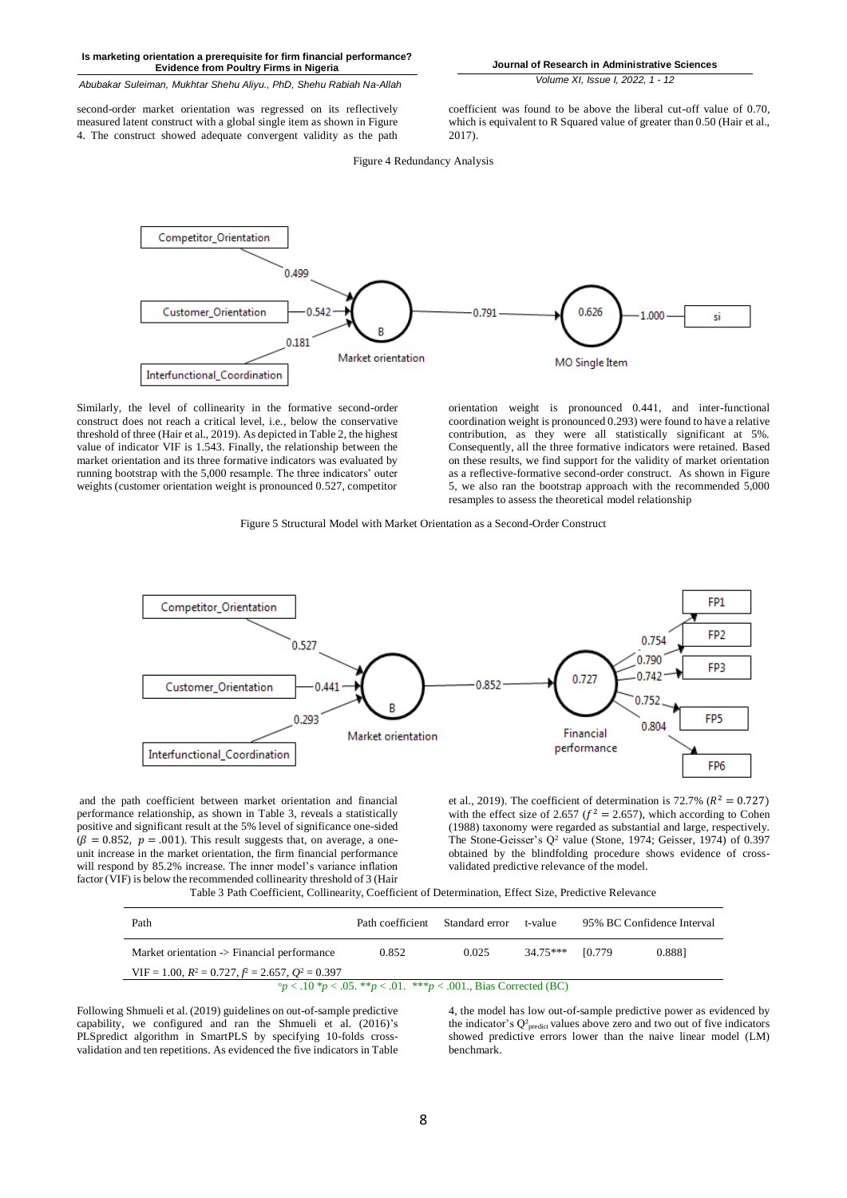*Abubakar Suleiman, Mukhtar Shehu Aliyu., PhD, Shehu Rabiah Na-Allah*

second-order market orientation was regressed on its reflectively measured latent construct with a global single item as shown in Figure 4. The construct showed adequate convergent validity as the path

**Journal of Research in Administrative Sciences**

*Volume XI, Issue I, 2022, 1 - 12*

coefficient was found to be above the liberal cut-off value of 0.70, which is equivalent to R Squared value of greater than 0.50 (Hair et al., 2017).

Figure 4 Redundancy Analysis



Similarly, the level of collinearity in the formative second-order construct does not reach a critical level, i.e., below the conservative threshold of three (Hair et al., 2019). As depicted in Table 2, the highest value of indicator VIF is 1.543. Finally, the relationship between the market orientation and its three formative indicators was evaluated by running bootstrap with the 5,000 resample. The three indicators' outer weights (customer orientation weight is pronounced 0.527, competitor

orientation weight is pronounced 0.441, and inter-functional coordination weight is pronounced 0.293) were found to have a relative contribution, as they were all statistically significant at 5%. Consequently, all the three formative indicators were retained. Based on these results, we find support for the validity of market orientation as a reflective-formative second-order construct. As shown in Figure 5, we also ran the bootstrap approach with the recommended 5,000 resamples to assess the theoretical model relationship

Figure 5 Structural Model with Market Orientation as a Second-Order Construct



and the path coefficient between market orientation and financial performance relationship, as shown in Table 3, reveals a statistically positive and significant result at the 5% level of significance one-sided  $(\beta = 0.852, p = .001)$ . This result suggests that, on average, a oneunit increase in the market orientation, the firm financial performance will respond by 85.2% increase. The inner model's variance inflation factor (VIF) is below the recommended collinearity threshold of 3 (Hair

et al., 2019). The coefficient of determination is 72.7% ( $R^2 = 0.727$ ) with the effect size of 2.657 ( $f^2 = 2.657$ ), which according to Cohen (1988) taxonomy were regarded as substantial and large, respectively. The Stone-Geisser's  $Q^2$  value (Stone, 1974; Geisser, 1974) of 0.397 obtained by the blindfolding procedure shows evidence of crossvalidated predictive relevance of the model.

Table 3 Path Coefficient, Collinearity, Coefficient of Determination, Effect Size, Predictive Relevance

| Path                                                                        | Path coefficient Standard error |       | t-value          |  | 95% BC Confidence Interval |  |
|-----------------------------------------------------------------------------|---------------------------------|-------|------------------|--|----------------------------|--|
| Market orientation -> Financial performance                                 | 0.852                           | 0.025 | 34.75*** [0.779] |  | 0.8881                     |  |
| VIF = 1.00, $R^2 = 0.727$ , $f^2 = 2.657$ , $Q^2 = 0.397$                   |                                 |       |                  |  |                            |  |
| ° $p$ < .10 * $p$ < .05. ** $p$ < .01. *** $p$ < .001., Bias Corrected (BC) |                                 |       |                  |  |                            |  |

Following Shmueli et al. (2019) guidelines on out-of-sample predictive capability, we configured and ran the Shmueli et al. (2016)'s PLSpredict algorithm in SmartPLS by specifying 10-folds crossvalidation and ten repetitions. As evidenced the five indicators in Table 4, the model has low out-of-sample predictive power as evidenced by the indicator's  $Q_{\text{predict}}^2$  values above zero and two out of five indicators showed predictive errors lower than the naive linear model (LM) benchmark.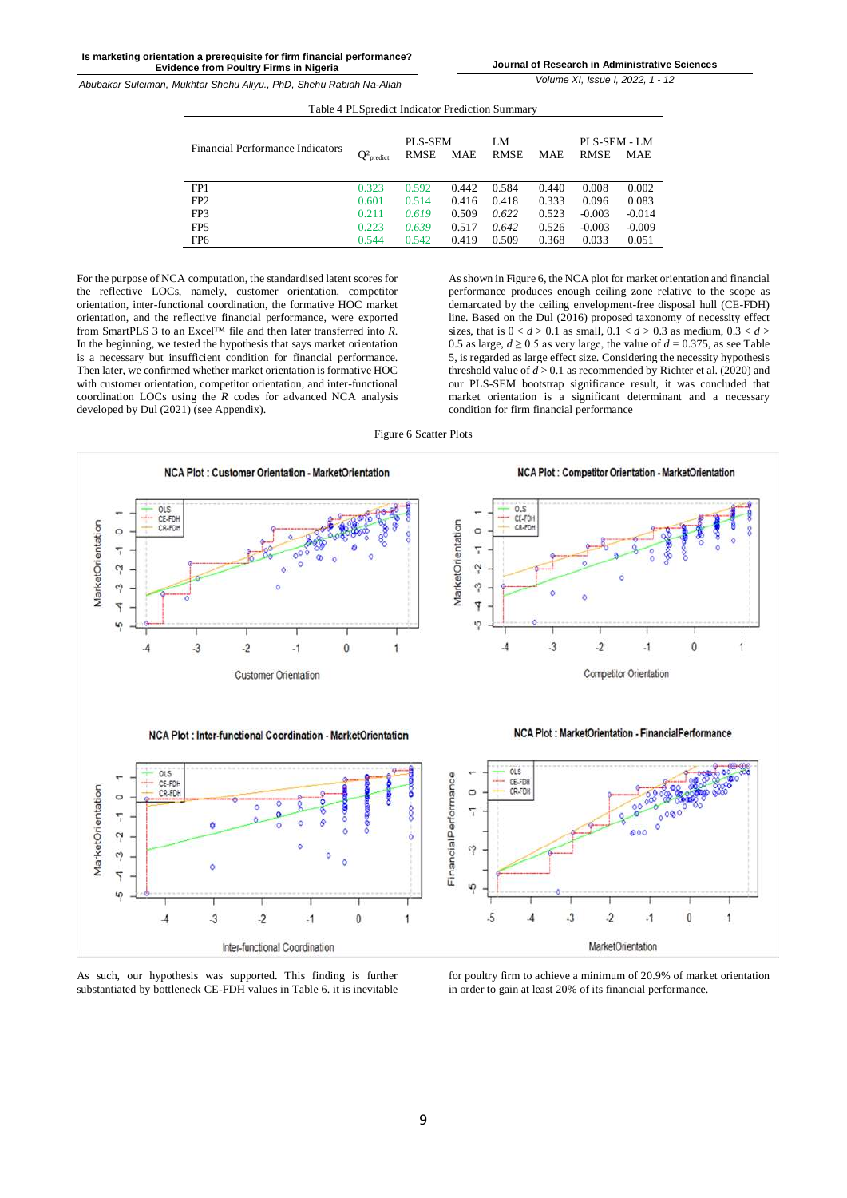**Journal of Research in Administrative Sciences**

*Volume XI, Issue I, 2022, 1 - 12*

| Financial Performance Indicators | $Q^2$ <sub>predict</sub> | <b>PLS-SEM</b><br>RMSE | MAE   | LM<br><b>RMSE</b> | MAE   | PLS-SEM - LM<br><b>RMSE</b> | MAE      |
|----------------------------------|--------------------------|------------------------|-------|-------------------|-------|-----------------------------|----------|
| FP <sub>1</sub>                  | 0.323                    | 0.592                  | 0.442 | 0.584             | 0.440 | 0.008                       | 0.002    |
| FP <sub>2</sub>                  | 0.601                    | 0.514                  | 0.416 | 0.418             | 0.333 | 0.096                       | 0.083    |
| FP3                              | 0.211                    | 0.619                  | 0.509 | 0.622             | 0.523 | $-0.003$                    | $-0.014$ |
| FP <sub>5</sub>                  | 0.223                    | 0.639                  | 0.517 | 0.642             | 0.526 | $-0.003$                    | $-0.009$ |
| FP <sub>6</sub>                  | 0.544                    | 0.542                  | 0.419 | 0.509             | 0.368 | 0.033                       | 0.051    |

Table 4 PLSpredict Indicator Prediction Summary

For the purpose of NCA computation, the standardised latent scores for the reflective LOCs, namely, customer orientation, competitor orientation, inter-functional coordination, the formative HOC market orientation, and the reflective financial performance, were exported from SmartPLS 3 to an Excel™ file and then later transferred into *R*. In the beginning, we tested the hypothesis that says market orientation is a necessary but insufficient condition for financial performance. Then later, we confirmed whether market orientation is formative HOC with customer orientation, competitor orientation, and inter-functional coordination LOCs using the  $\overrightarrow{R}$  codes for advanced NCA analysis developed by Dul (2021) (see Appendix).

As shown in Figure 6, the NCA plot for market orientation and financial performance produces enough ceiling zone relative to the scope as demarcated by the ceiling envelopment-free disposal hull (CE-FDH) line. Based on the Dul (2016) proposed taxonomy of necessity effect sizes, that is  $0 < d > 0.1$  as small,  $0.1 < d > 0.3$  as medium,  $0.3 < d >$ 0.5 as large,  $d \ge 0.5$  as very large, the value of  $d = 0.375$ , as see Table 5, is regarded as large effect size. Considering the necessity hypothesis threshold value of  $d > 0.1$  as recommended by Richter et al. (2020) and our PLS-SEM bootstrap significance result, it was concluded that market orientation is a significant determinant and a necessary condition for firm financial performance

Figure 6 Scatter Plots



As such, our hypothesis was supported. This finding is further substantiated by bottleneck CE-FDH values in Table 6. it is inevitable

for poultry firm to achieve a minimum of 20.9% of market orientation in order to gain at least 20% of its financial performance.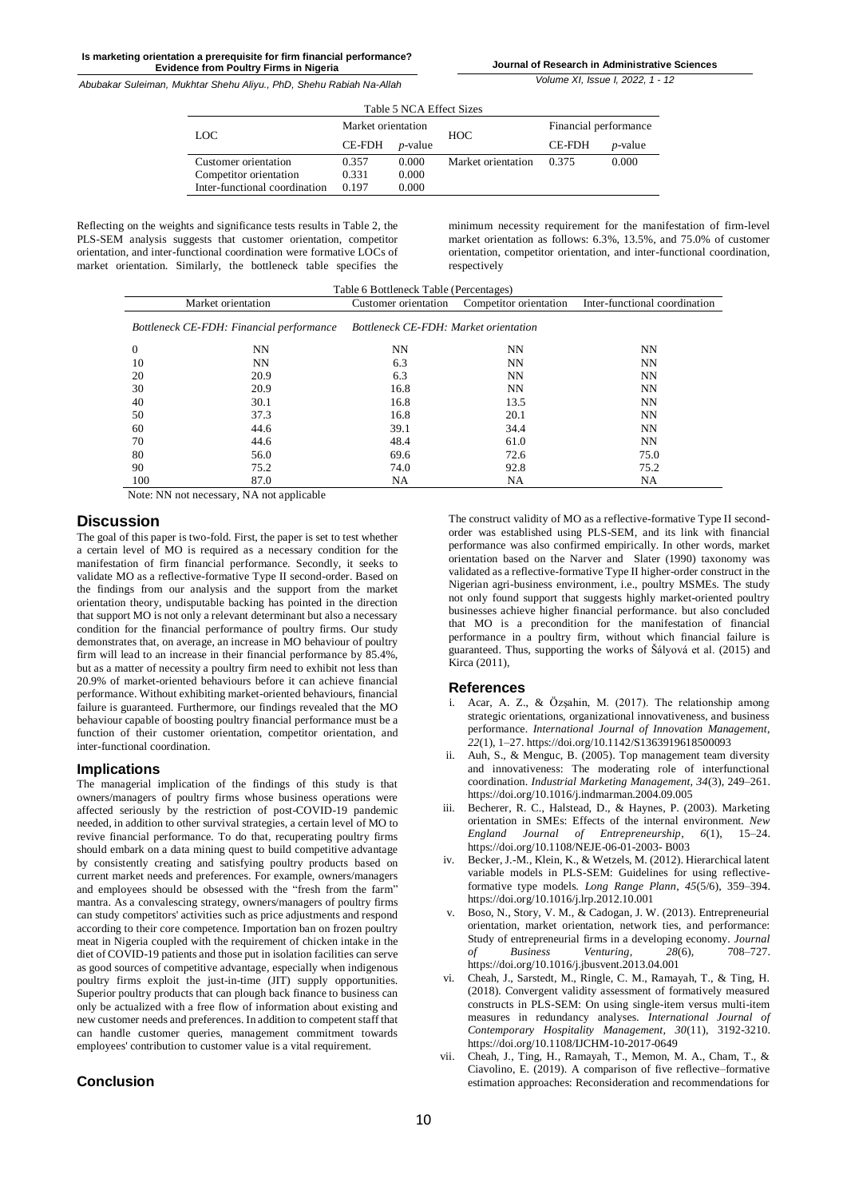**Journal of Research in Administrative Sciences**

*Abubakar Suleiman, Mukhtar Shehu Aliyu., PhD, Shehu Rabiah Na-Allah*

*Volume XI, Issue I, 2022, 1 - 12*

Table 5 NCA Effect Sizes LOC Market orientation HOC Financial performance CE-FDH *p*-value CE-FDH *p*-value Customer orientation 0.357 0.000 Market orientation 0.375 0.000 Competitor orientation 0.331 0.000 Inter-functional coordination 0.197 0.000

Reflecting on the weights and significance tests results in Table 2, the PLS-SEM analysis suggests that customer orientation, competitor orientation, and inter-functional coordination were formative LOCs of market orientation. Similarly, the bottleneck table specifies the

minimum necessity requirement for the manifestation of firm-level market orientation as follows: 6.3%, 13.5%, and 75.0% of customer orientation, competitor orientation, and inter-functional coordination, respectively

| Table 6 Bottleneck Table (Percentages)   |      |                                       |                        |                               |  |  |
|------------------------------------------|------|---------------------------------------|------------------------|-------------------------------|--|--|
| Market orientation                       |      | Customer orientation                  | Competitor orientation | Inter-functional coordination |  |  |
| Bottleneck CE-FDH: Financial performance |      | Bottleneck CE-FDH: Market orientation |                        |                               |  |  |
| 0                                        | NN   | NΝ                                    | NΝ                     | NN                            |  |  |
| 10                                       | NN   | 6.3                                   | NΝ                     | NN                            |  |  |
| 20                                       | 20.9 | 6.3                                   | NΝ                     | NN                            |  |  |
| 30                                       | 20.9 | 16.8                                  | NΝ                     | NN                            |  |  |
| 40                                       | 30.1 | 16.8                                  | 13.5                   | NN                            |  |  |
| 50                                       | 37.3 | 16.8                                  | 20.1                   | NN                            |  |  |
| 60                                       | 44.6 | 39.1                                  | 34.4                   | NN                            |  |  |
| 70                                       | 44.6 | 48.4                                  | 61.0                   | NN                            |  |  |
| 80                                       | 56.0 | 69.6                                  | 72.6                   | 75.0                          |  |  |
| 90                                       | 75.2 | 74.0                                  | 92.8                   | 75.2                          |  |  |
| 100                                      | 87.0 | NA                                    | NA                     | NA                            |  |  |

Note: NN not necessary, NA not applicable

# **Discussion**

The goal of this paper is two-fold. First, the paper is set to test whether a certain level of MO is required as a necessary condition for the manifestation of firm financial performance. Secondly, it seeks to validate MO as a reflective-formative Type II second-order. Based on the findings from our analysis and the support from the market orientation theory, undisputable backing has pointed in the direction that support MO is not only a relevant determinant but also a necessary condition for the financial performance of poultry firms. Our study demonstrates that, on average, an increase in MO behaviour of poultry firm will lead to an increase in their financial performance by 85.4%, but as a matter of necessity a poultry firm need to exhibit not less than 20.9% of market-oriented behaviours before it can achieve financial performance. Without exhibiting market-oriented behaviours, financial failure is guaranteed. Furthermore, our findings revealed that the MO behaviour capable of boosting poultry financial performance must be a function of their customer orientation, competitor orientation, and inter-functional coordination.

## **Implications**

The managerial implication of the findings of this study is that owners/managers of poultry firms whose business operations were affected seriously by the restriction of post-COVID-19 pandemic needed, in addition to other survival strategies, a certain level of MO to revive financial performance. To do that, recuperating poultry firms should embark on a data mining quest to build competitive advantage by consistently creating and satisfying poultry products based on current market needs and preferences. For example, owners/managers and employees should be obsessed with the "fresh from the farm" mantra. As a convalescing strategy, owners/managers of poultry firms can study competitors' activities such as price adjustments and respond according to their core competence. Importation ban on frozen poultry meat in Nigeria coupled with the requirement of chicken intake in the diet of COVID-19 patients and those put in isolation facilities can serve as good sources of competitive advantage, especially when indigenous poultry firms exploit the just-in-time (JIT) supply opportunities. Superior poultry products that can plough back finance to business can only be actualized with a free flow of information about existing and new customer needs and preferences. In addition to competent staff that can handle customer queries, management commitment towards employees' contribution to customer value is a vital requirement.

# **Conclusion**

The construct validity of MO as a reflective-formative Type II secondorder was established using PLS-SEM, and its link with financial performance was also confirmed empirically. In other words, market orientation based on the Narver and Slater (1990) taxonomy was validated as a reflective-formative Type II higher-order construct in the Nigerian agri-business environment, i.e., poultry MSMEs. The study not only found support that suggests highly market-oriented poultry businesses achieve higher financial performance. but also concluded that MO is a precondition for the manifestation of financial performance in a poultry firm, without which financial failure is guaranteed. Thus, supporting the works of Šályová et al. (2015) and Kirca (2011),

## **References**

- i. Acar, A. Z., & Özşahin, M. (2017). The relationship among strategic orientations, organizational innovativeness, and business performance. *International Journal of Innovation Management*, *22*(1), 1–27. https://doi.org/10.1142/S1363919618500093
- Auh, S., & Menguc, B. (2005). Top management team diversity and innovativeness: The moderating role of interfunctional coordination. *Industrial Marketing Management, 34*(3), 249–261. https://doi.org/10.1016/j.indmarman.2004.09.005
- iii. Becherer, R. C., Halstead, D., & Haynes, P. (2003). Marketing orientation in SMEs: Effects of the internal environment. *New England Journal of Entrepreneurship*,  $6(1)$ , 15–24. *England Journal of Entrepreneurship*, https://doi.org/10.1108/NEJE-06-01-2003- B003
- iv. Becker, J.-M., Klein, K., & Wetzels, M. (2012). Hierarchical latent variable models in PLS-SEM: Guidelines for using reflectiveformative type models. *Long Range Plann*, *45*(5/6), 359–394. https://doi.org/10.1016/j.lrp.2012.10.001
- v. Boso, N., Story, V. M., & Cadogan, J. W. (2013). Entrepreneurial orientation, market orientation, network ties, and performance: Study of entrepreneurial firms in a developing economy. *Journal of Business Venturing*, *28*(6), 708–727. https://doi.org/10.1016/j.jbusvent.2013.04.001
- vi. Cheah, J., Sarstedt, M., Ringle, C. M., Ramayah, T., & Ting, H. (2018). Convergent validity assessment of formatively measured constructs in PLS-SEM: On using single-item versus multi-item measures in redundancy analyses. *International Journal of Contemporary Hospitality Management, 30*(11), 3192-3210. https://doi.org/10.1108/IJCHM-10-2017-0649
- vii. Cheah, J., Ting, H., Ramayah, T., Memon, M. A., Cham, T., & Ciavolino, E. (2019). A comparison of five reflective–formative estimation approaches: Reconsideration and recommendations for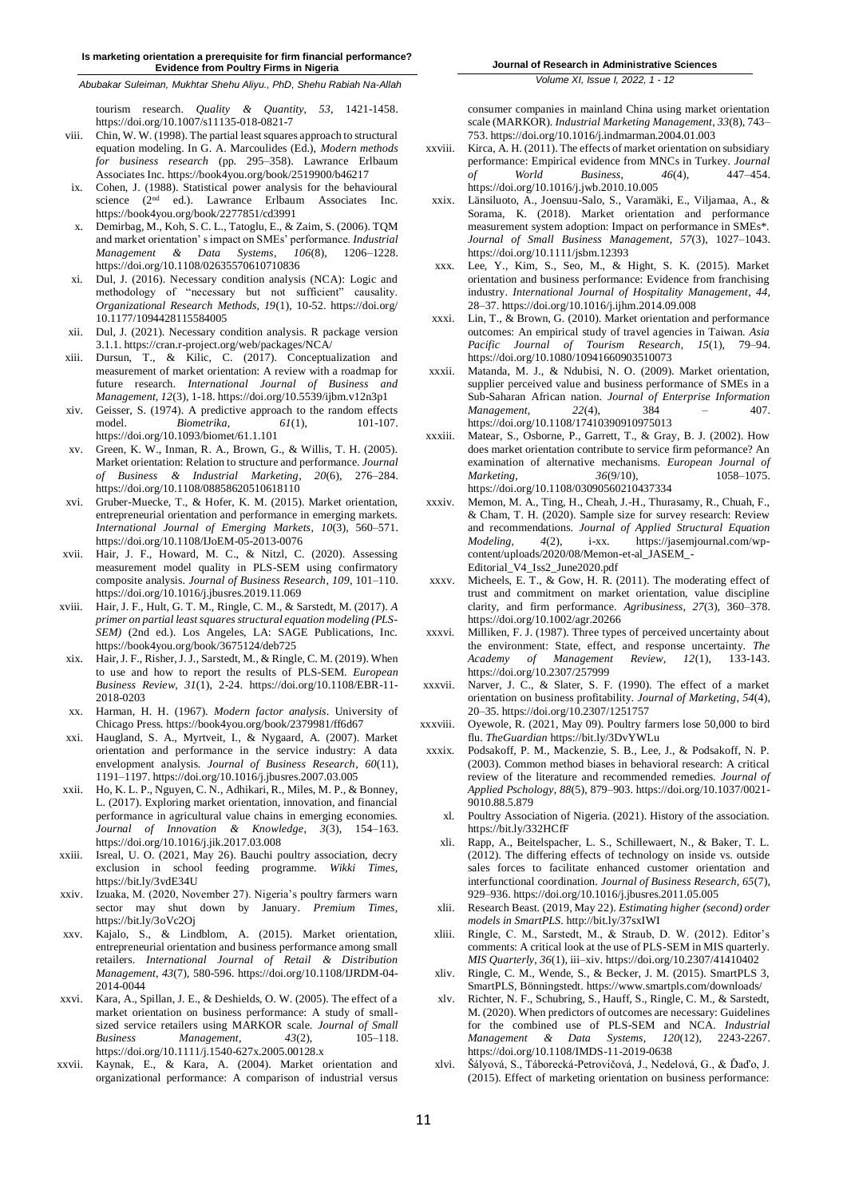*Abubakar Suleiman, Mukhtar Shehu Aliyu., PhD, Shehu Rabiah Na-Allah*

tourism research. *Quality & Quantity, 53*, 1421-1458. https://doi.org/10.1007/s11135-018-0821-7

- viii. Chin, W. W. (1998). The partial least squares approach to structural equation modeling. In G. A. Marcoulides (Ed.), *Modern methods for business research* (pp. 295–358). Lawrance Erlbaum Associates Inc. https://book4you.org/book/2519900/b46217
- ix. Cohen, J. (1988). Statistical power analysis for the behavioural science (2<sup>nd</sup> ed.). Lawrance Erlbaum Associates Inc. https://book4you.org/book/2277851/cd3991
- x. Demirbag, M., Koh, S. C. L., Tatoglu, E., & Zaim, S. (2006). TQM and market orientation' s impact on SMEs' performance. *Industrial Management & Data Systems*, *106*(8), 1206–1228. https://doi.org/10.1108/02635570610710836
- Dul, J. (2016). Necessary condition analysis (NCA): Logic and methodology of "necessary but not sufficient" causality. *Organizational Research Methods, 19*(1), 10-52. https://doi.org/ 10.1177/1094428115584005
- xii. Dul, J. (2021). Necessary condition analysis. R package version 3.1.1. https://cran.r-project.org/web/packages/NCA/
- xiii. Dursun, T., & Kilic, C. (2017). Conceptualization and measurement of market orientation: A review with a roadmap for future research. *International Journal of Business and Management, 12*(3), 1-18. https://doi.org/10.5539/ijbm.v12n3p1
- xiv. Geisser, S. (1974). A predictive approach to the random effects model. *Biometrika*,  $61(1)$ , 101-107. <https://doi.org/10.1093/biomet/61.1.101>
- xv. Green, K. W., Inman, R. A., Brown, G., & Willis, T. H. (2005). Market orientation: Relation to structure and performance. *Journal of Business & Industrial Marketing*, *20*(6), 276–284. https://doi.org/10.1108/08858620510618110
- xvi. Gruber-Muecke, T., & Hofer, K. M. (2015). Market orientation, entrepreneurial orientation and performance in emerging markets. *International Journal of Emerging Markets*, *10*(3), 560–571. https://doi.org/10.1108/IJoEM-05-2013-0076
- xvii. Hair, J. F., Howard, M. C., & Nitzl, C. (2020). Assessing measurement model quality in PLS-SEM using confirmatory composite analysis. *Journal of Business Research*, *109*, 101–110. https://doi.org/10.1016/j.jbusres.2019.11.069
- xviii. Hair, J. F., Hult, G. T. M., Ringle, C. M., & Sarstedt, M. (2017). *A primer on partial least squares structural equation modeling (PLS-SEM)* (2nd ed.). Los Angeles, LA: SAGE Publications, Inc. https://book4you.org/book/3675124/deb725
- xix. Hair, J. F., Risher, J. J., Sarstedt, M., & Ringle, C. M. (2019). When to use and how to report the results of PLS-SEM. *European Business Review, 31*(1), 2-24. https://doi.org/10.1108/EBR-11- 2018-0203
- xx. Harman, H. H. (1967). *Modern factor analysis*. University of Chicago Press. https://book4you.org/book/2379981/ff6d67
- xxi. Haugland, S. A., Myrtveit, I., & Nygaard, A. (2007). Market orientation and performance in the service industry: A data envelopment analysis. *Journal of Business Research*, *60*(11), 1191–1197. https://doi.org/10.1016/j.jbusres.2007.03.005
- xxii. Ho, K. L. P., Nguyen, C. N., Adhikari, R., Miles, M. P., & Bonney, L. (2017). Exploring market orientation, innovation, and financial performance in agricultural value chains in emerging economies. *Journal of Innovation & Knowledge*, *3*(3), 154–163. https://doi.org/10.1016/j.jik.2017.03.008
- xxiii. Isreal, U. O. (2021, May 26). Bauchi poultry association, decry exclusion in school feeding programme. *Wikki Times*, https://bit.ly/3vdE34U
- xxiv. Izuaka, M. (2020, November 27). Nigeria's poultry farmers warn sector may shut down by January. *Premium Times*, https://bit.ly/3oVc2Oj
- xxv. Kajalo, S., & Lindblom, A. (2015). Market orientation, entrepreneurial orientation and business performance among small retailers. *International Journal of Retail & Distribution Management*, *43*(7), 580-596. https://doi.org/10.1108/IJRDM-04- 2014-0044
- xxvi. Kara, A., Spillan, J. E., & Deshields, O. W. (2005). The effect of a market orientation on business performance: A study of smallsized service retailers using MARKOR scale. *Journal of Small Business Management*, *43*(2), 105–118. https://doi.org/10.1111/j.1540-627x.2005.00128.x
- xxvii. Kaynak, E., & Kara, A. (2004). Market orientation and organizational performance: A comparison of industrial versus

*Volume XI, Issue I, 2022, 1 - 12*

consumer companies in mainland China using market orientation scale (MARKOR). *Industrial Marketing Management*, *33*(8), 743– 753. https://doi.org/10.1016/j.indmarman.2004.01.003

- xxviii. Kirca, A. H. (2011). The effects of market orientation on subsidiary performance: Empirical evidence from MNCs in Turkey. *Journal of World Business*, *46*(4), 447–454. https://doi.org/10.1016/j.jwb.2010.10.005
- xxix. Länsiluoto, A., Joensuu-Salo, S., Varamäki, E., Viljamaa, A., & Sorama, K. (2018). Market orientation and performance measurement system adoption: Impact on performance in SMEs\*. *Journal of Small Business Management*, *57*(3), 1027–1043. https://doi.org/10.1111/jsbm.12393
- Lee, Y., Kim, S., Seo, M., & Hight, S. K. (2015). Market orientation and business performance: Evidence from franchising industry. *International Journal of Hospitality Management*, *44*, 28–37. https://doi.org/10.1016/j.ijhm.2014.09.008
- xxxi. Lin, T., & Brown, G. (2010). Market orientation and performance outcomes: An empirical study of travel agencies in Taiwan. *Asia Pacific Journal of Tourism Research*, *15*(1), 79–94. https://doi.org/10.1080/10941660903510073
- xxxii. Matanda, M. J., & Ndubisi, N. O. (2009). Market orientation, supplier perceived value and business performance of SMEs in a Sub-Saharan African nation. *Journal of Enterprise Information Management,* 22(4), 384 – 407. https://doi.org/10.1108/17410390910975013
- xxxiii. Matear, S., Osborne, P., Garrett, T., & Gray, B. J. (2002). How does market orientation contribute to service firm peformance? An examination of alternative mechanisms. *European Journal of Marketing*,  $\frac{36(9/10)}{25}$ https://doi.org/10.1108/03090560210437334
- xxxiv. Memon, M. A., Ting, H., Cheah, J.-H., Thurasamy, R., Chuah, F., & Cham, T. H. (2020). Sample size for survey research: Review and recommendations. *Journal of Applied Structural Equation Modeling, 4*(2), i-xx. https://jasemjournal.com/wpcontent/uploads/2020/08/Memon-et-al\_JASEM\_- Editorial\_V4\_Iss2\_June2020.pdf
- xxxv. Micheels, E. T., & Gow, H. R. (2011). The moderating effect of trust and commitment on market orientation, value discipline clarity, and firm performance. *Agribusiness*, *27*(3), 360–378. https://doi.org/10.1002/agr.20266
- xxxvi. Milliken, F. J. (1987). Three types of perceived uncertainty about the environment: State, effect, and response uncertainty. *The Academy of Management Review*, 12(1), 133-143. *Academy of Management* https://doi.org/10.2307/257999
- xxxvii. Narver, J. C., & Slater, S. F. (1990). The effect of a market orientation on business profitability. *Journal of Marketing*, *54*(4), 20–35. https://doi.org/10.2307/1251757
- xxxviii. Oyewole, R. (2021, May 09). Poultry farmers lose 50,000 to bird flu. *TheGuardian* https://bit.ly/3DvYWLu
- xxxix. Podsakoff, P. M., Mackenzie, S. B., Lee, J., & Podsakoff, N. P. (2003). Common method biases in behavioral research: A critical review of the literature and recommended remedies. *Journal of Applied Pschology*, *88*(5), 879–903. https://doi.org/10.1037/0021- 9010.88.5.879
	- xl. Poultry Association of Nigeria. (2021). History of the association. https://bit.ly/332HCfF
	- xli. Rapp, A., Beitelspacher, L. S., Schillewaert, N., & Baker, T. L. (2012). The differing effects of technology on inside vs. outside sales forces to facilitate enhanced customer orientation and interfunctional coordination. *Journal of Business Research, 65*(7), 929–936. https://doi.org/10.1016/j.jbusres.2011.05.005
	- xlii. Research Beast. (2019, May 22). *Estimating higher (second) order models in SmartPLS*. http://bit.ly/37sxIWI
	- xliii. Ringle, C. M., Sarstedt, M., & Straub, D. W. (2012). Editor's comments: A critical look at the use of PLS-SEM in MIS quarterly. *MIS Quarterly*, *36*(1), iii–xiv. https://doi.org/10.2307/41410402
	- xliv. Ringle, C. M., Wende, S., & Becker, J. M. (2015). SmartPLS 3, SmartPLS, Bönningstedt. https://www.smartpls.com/downloads/
	- xlv. Richter, N. F., Schubring, S., Hauff, S., Ringle, C. M., & Sarstedt, M. (2020). When predictors of outcomes are necessary: Guidelines for the combined use of PLS-SEM and NCA. *Industrial Management & Data Systems, 120*(12), 2243-2267. https://doi.org/10.1108/IMDS-11-2019-0638
- xlvi. Šályová, S., Táborecká-Petrovičová, J., Nedelová, G., & Ďaďo, J. (2015). Effect of marketing orientation on business performance: